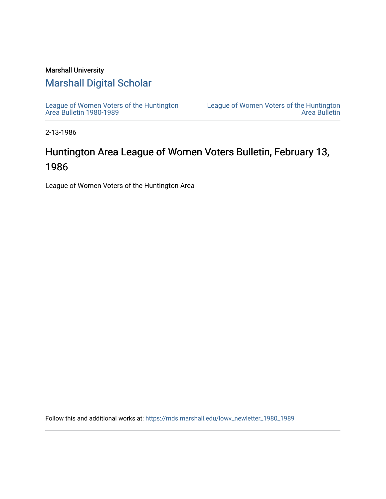#### Marshall University

### [Marshall Digital Scholar](https://mds.marshall.edu/)

[League of Women Voters of the Huntington](https://mds.marshall.edu/lowv_newletter_1980_1989) [Area Bulletin 1980-1989](https://mds.marshall.edu/lowv_newletter_1980_1989) 

[League of Women Voters of the Huntington](https://mds.marshall.edu/lowv_newsletter)  [Area Bulletin](https://mds.marshall.edu/lowv_newsletter) 

2-13-1986

## Huntington Area League of Women Voters Bulletin, February 13, 1986

League of Women Voters of the Huntington Area

Follow this and additional works at: [https://mds.marshall.edu/lowv\\_newletter\\_1980\\_1989](https://mds.marshall.edu/lowv_newletter_1980_1989?utm_source=mds.marshall.edu%2Flowv_newletter_1980_1989%2F58&utm_medium=PDF&utm_campaign=PDFCoverPages)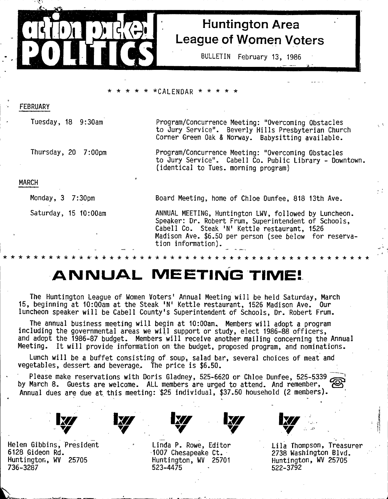

## **Huntington Area League of Women Voters**

**BULLETIN February 13, 1985**

#### **\* \* \* \* \* \*CALENDAR \* \* \* \* \***

| FEBRUARY             |                                                                                                                                                                                                                         |  |  |
|----------------------|-------------------------------------------------------------------------------------------------------------------------------------------------------------------------------------------------------------------------|--|--|
| Tuesday, 18 9:30am   | Program/Concurrence Meeting: "Overcoming Obstacles<br>to Jury Service". Beverly Hills Presbyterian Church<br>Corner Green Oak & Norway. Babysitting available.                                                          |  |  |
| Thursday, 20 7:00pm  | Program/Concurrence Meeting: "Overcoming Obstacles<br>to Jury Sérvice". Cabell Co. Public Library - Downtown.<br>(identical to Tues. morning program)                                                                   |  |  |
| <b>MARCH</b>         |                                                                                                                                                                                                                         |  |  |
| Monday, 3 7:30pm     | Board Meeting, home of Chloe Dunfee, 818 13th Ave.                                                                                                                                                                      |  |  |
| Saturday, 15 10:00am | ANNUAL MEETING, Huntington LWV, followed by Luncheon.<br>Speaker: Dr. Robert Frum, Superintendent of Schools,<br>Cabell Co. Steak 'N' Kettle restaurant, 1526<br>Madison Ave. \$6.50 per person (see below for reserva- |  |  |

**tion information).**

*ic-kicicicicicicic'k-kicicicic'kic-kic'kicic'kicicicicicic'kicicicic'kicicicic'k'kicic'k i c i c 'k ' k 'k*

## **ANNUAL MEETING TIME!**

**The Huntington League of Women Voters' Annual Meeting w ill be held Saturday, March 15, beginning at lO:QOam at the Steak 'N' Kettle restaurant, 1526 Madison Ave, Our** luncheon speaker will be Cabell County's Superintendent of Schools, Dr. Robert Frum.

The annual business meeting will begin at 10:00am. Members will adopt a program **including the governmental areas we will support or study, elect 1986-88 officers,** and adopt the 1986-87 budget. Members will receive another mailing concerning the Annual Meeting. It will provide information on the budget, proposed program, and nominations.

**Lunch will be a buffet consisting of. soup, salad bar, several choices of meat and vegetables, dessert and beverage.. The price is \$6.50.**

**Please make reservations with Doris Gladney, 525-6620 or Chloe Dunfee, 525-5339 ^ by March 8. Guests are welcome. ALL members are urged to attend. And remember, Annual dues are due at this meeting: \$25 individual, \$37.50 household (2 members). |** « •

**Helen Gibbins, President 6128 Gideon Rd. Huntington, WV 25705 736-3287**



**Linda P. Rowe, Editor 1007 Chesapeake Ct. Huntington, WV 25701 523-4475**



**Lila Thompson, Treasurer 2738 Washington Blvd. Huntington, WV 25705 522-3792**

**j**

 $\mathcal{C}^{\mathcal{A}}$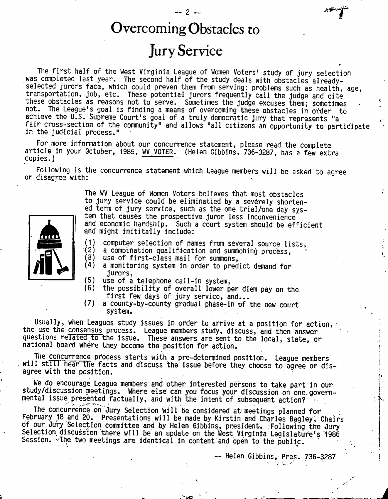## **Overcoming Obstacles to**

-- 2 --

**Jury Service**

The first half of the West Virginia League of Women Voters' study of jury selection was completed last year. The second half of the study deals with obstacles already**selected jurors face, which could preven them from serving: problems such as health, age, transportation, job, etc. These potential jurors frequently call the judge and cite these obstacles as reasons not to serve. Sometimes the judge excuses them; sometimes '' not. The League's goal is finding a means of overcoming these obstacles in order to achieve the U.S. Supreme Court's goal of a truly democratic jury that represents "a fa ir cross-section of the community" and allows "all citizens an opportunity to participate ' in the judicial process."**

**For more information about our concurrence statement, please read the complete article in your October, 1985, WV VOTER. {Helen Gibbins, 736-3287, has a few extra copies.)**

**Following is the concurrence statement which League members will be asked to agree or disagree with:**



**The WV League of Women Voters believes that most obstacles to jury service could be eliminatied by a severely shortened term of jury service, such as the one trial/one day system that causes the prospective juror less inconvenience and economic hardship. Such a court system should be efficient** and might inititally include:

- **(1) computer selection of names from several source lists,**
- **(2) a combination qualification and surimiohing process,**
- **(3) use of first-class mail for summons,**
- **(4) a monitoring system in order to predict demand for jurors,**
- **(5) use of a telephone call-in system,**
- **(6) the possibility of overall lower per diem pay on the** first few days of jury service, and...
- **(7) a county-by-county gradual phase-in of the new court system.**

**Usually, when Leagues study issues in order to arrive at a position for action, the use the consensus process. League members study, discuss, and then answer questions related to the issue. These answers are sent to the local, state, or national board where they become the position for action.**

**The concurrence process starts with a pre-determined position. League members** will still hear the facts and discuss the issue before they choose to agree or dis**agree with the position.**

**We do encourage League members and other interested persons to take part in our study/discussion meetings. Where else can you focus your discussion on one. governmental issue presented factually, and with the intent of subsequent action? ^**

The concurrence on Jury Selection will be considered at meetings planned for February 18 and 20. Presentations will be made by Kirstin and Charles Bagley, Chairs **of our Jury Selection committee and by Helen Gibbins, president. Following the Jury Selection discussion there will be an update on the West Virginia Legislature's 1986 Session. -The two meetings are identical in content and open to the public.**

**— Helen Gibbins, Pres. 736-3287**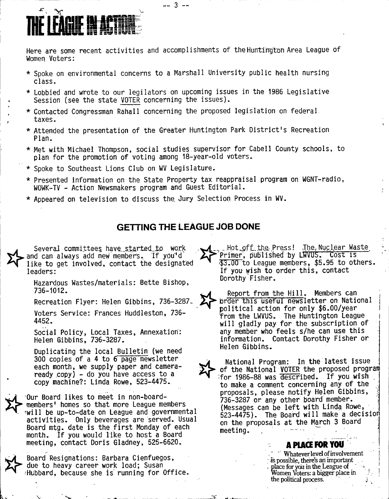# **THE LEADUR**

**Here are some recent activities and accomplishments of the Huntington Area League of Women Voters:**

**\* Spoke on environmental concerns to a Marshall University public health nursing class.**

**— 3 —**

- **\* Lobbied and wrote to our legilators on upcoming issues in the 1986 Legislative Session (see the state VOTER concerning the issues).**
- **\* Contacted Congressman Rahall concerning the proposed legislation on federal taxes.**
- **\* Attended the presentation of the Greater Huntington Park District's Recreation Plan.**
- **\* Met with Michael Thompson, social studies.supervisor for Cabell County schools, to plan for the promotion of voting among 18-year-old voters.**
- **\* Spoke to Southeast Lions Club on WV Legislature.**
- **\* Presented information on the State Property tax reappraisal program on WGNT-radio, WOWK-TV - Action Newsmakers program and Guest Editorial.**
- **\* Appeared on television to discuss the. Jury Selection Process in WV.**

#### **GETTING THE LEAGUE JOB DONE**

Several committees have started to work **and can always add new members. If ydu''d like to get involved, contact the designated leaders:**

**Hazardous Wastes/materials: Bette Bishop, 736-1012.**

**Recreation Flyer: Helen Gibbins, 736-3287.,**

**Voters Service: Frances Huddleston, 736- 4452.**

**Social Policy, Local Taxes, Annexation: Helen Gibbins, 736-3287.**

**Duplicating the local Bulletin (we need 300 copies of a 4 to 6 page newsletter each month, we supply paper and cameraready copy) - do you have access to a copy machine?: Linda Rowe, 523-4475.**

**Our Board likes to meet in non-boardmembers' homes so that more League members iwill be up-to-date on League and governmental activities. Only beverages are served. Usual** Board mtg. date is the first Monday of each **month. If you would like to host a Board meeting, contact Doris Gladney, 525-6620.**

**Board Resignations: Barbara Cienfuegos, due to heavy career work load; Susan •Hubbard, because she is' running for Office.**

. Hot<sub>4</sub>off the Press! .The Nuclear Waste **Primer, published by LWVUS. Cost is '\$3.00 to League members, \$5.95 to others. If you wish to order this, contact Dorothy Fisher.**

Report from the Hill. Members can **brder this useful newsletter on National political action for only \$6.00/year from the LWVUS. The Huntington League will gladly pay for the subscription of any member who feels s/he can use this information. Contact Dorothy Fisher or Helen Gibbins.**

**1**

**National Program: In the latest issue • of the National VOTER the proposed program :for 1986-88 was described. If you wish , to make a comment concerning any of the ' proposals, please notify Helen Gibbins, 736-3287 or any other board member. j** (Messages can be left with Linda Rowe, **523-4475). The Board w ill make a decisior on the proposals at the M^rch 3 Board** meeting.

#### **A PLACE FOR YOU**

**' Whatever level of involvement •is possible, lhere% ait important , place for you in the League of •**•• **Women Voters: a bigger place in the political process.**